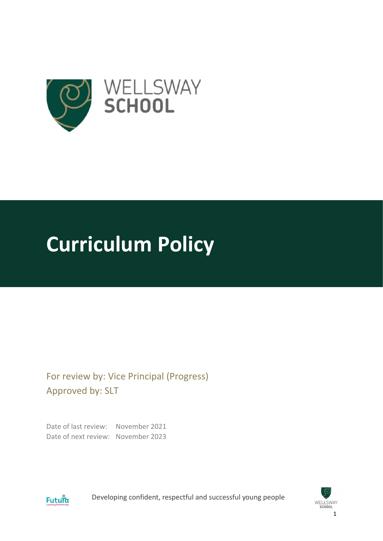

# **Curriculum Policy**

For review by: Vice Principal (Progress) Approved by: SLT

Date of last review: November 2021 Date of next review: November 2023



Developing confident, respectful and successful young people

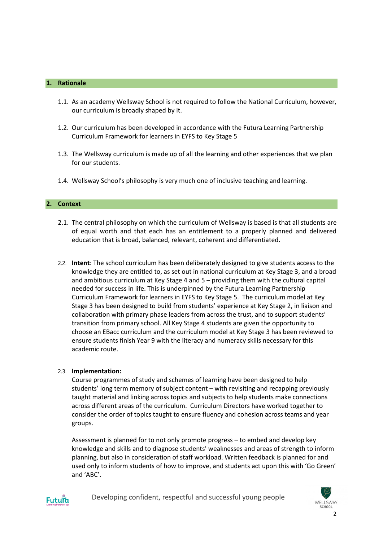# **1. Rationale**

- 1.1. As an academy Wellsway School is not required to follow the National Curriculum, however, our curriculum is broadly shaped by it.
- 1.2. Our curriculum has been developed in accordance with the Futura Learning Partnership Curriculum Framework for learners in EYFS to Key Stage 5
- 1.3. The Wellsway curriculum is made up of all the learning and other experiences that we plan for our students.
- 1.4. Wellsway School's philosophy is very much one of inclusive teaching and learning.

# **2. Context**

- 2.1. The central philosophy on which the curriculum of Wellsway is based is that all students are of equal worth and that each has an entitlement to a properly planned and delivered education that is broad, balanced, relevant, coherent and differentiated.
- 2.2. **Intent**: The school curriculum has been deliberately designed to give students access to the knowledge they are entitled to, as set out in national curriculum at Key Stage 3, and a broad and ambitious curriculum at Key Stage 4 and 5 – providing them with the cultural capital needed for success in life. This is underpinned by the Futura Learning Partnership Curriculum Framework for learners in EYFS to Key Stage 5. The curriculum model at Key Stage 3 has been designed to build from students' experience at Key Stage 2, in liaison and collaboration with primary phase leaders from across the trust, and to support students' transition from primary school. All Key Stage 4 students are given the opportunity to choose an EBacc curriculum and the curriculum model at Key Stage 3 has been reviewed to ensure students finish Year 9 with the literacy and numeracy skills necessary for this academic route.

### 2.3. **Implementation:**

Course programmes of study and schemes of learning have been designed to help students' long term memory of subject content – with revisiting and recapping previously taught material and linking across topics and subjects to help students make connections across different areas of the curriculum. Curriculum Directors have worked together to consider the order of topics taught to ensure fluency and cohesion across teams and year groups.

Assessment is planned for to not only promote progress – to embed and develop key knowledge and skills and to diagnose students' weaknesses and areas of strength to inform planning, but also in consideration of staff workload. Written feedback is planned for and used only to inform students of how to improve, and students act upon this with 'Go Green' and 'ABC'.



Developing confident, respectful and successful young people

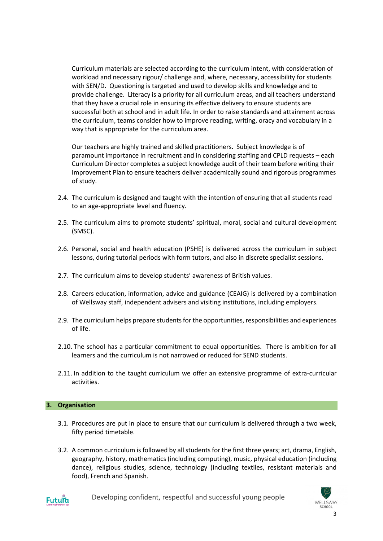Curriculum materials are selected according to the curriculum intent, with consideration of workload and necessary rigour/ challenge and, where, necessary, accessibility for students with SEN/D. Questioning is targeted and used to develop skills and knowledge and to provide challenge. Literacy is a priority for all curriculum areas, and all teachers understand that they have a crucial role in ensuring its effective delivery to ensure students are successful both at school and in adult life. In order to raise standards and attainment across the curriculum, teams consider how to improve reading, writing, oracy and vocabulary in a way that is appropriate for the curriculum area.

Our teachers are highly trained and skilled practitioners. Subject knowledge is of paramount importance in recruitment and in considering staffing and CPLD requests – each Curriculum Director completes a subject knowledge audit of their team before writing their Improvement Plan to ensure teachers deliver academically sound and rigorous programmes of study.

- 2.4. The curriculum is designed and taught with the intention of ensuring that all students read to an age-appropriate level and fluency.
- 2.5. The curriculum aims to promote students' spiritual, moral, social and cultural development (SMSC).
- 2.6. Personal, social and health education (PSHE) is delivered across the curriculum in subject lessons, during tutorial periods with form tutors, and also in discrete specialist sessions.
- 2.7. The curriculum aims to develop students' awareness of British values.
- 2.8. Careers education, information, advice and guidance (CEAIG) is delivered by a combination of Wellsway staff, independent advisers and visiting institutions, including employers.
- 2.9. The curriculum helps prepare students for the opportunities, responsibilities and experiences of life.
- 2.10. The school has a particular commitment to equal opportunities. There is ambition for all learners and the curriculum is not narrowed or reduced for SEND students.
- 2.11. In addition to the taught curriculum we offer an extensive programme of extra-curricular activities.

# **3. Organisation**

- 3.1. Procedures are put in place to ensure that our curriculum is delivered through a two week, fifty period timetable.
- 3.2. A common curriculum is followed by all students for the first three years; art, drama, English, geography, history, mathematics (including computing), music, physical education (including dance), religious studies, science, technology (including textiles, resistant materials and food), French and Spanish.



Developing confident, respectful and successful young people